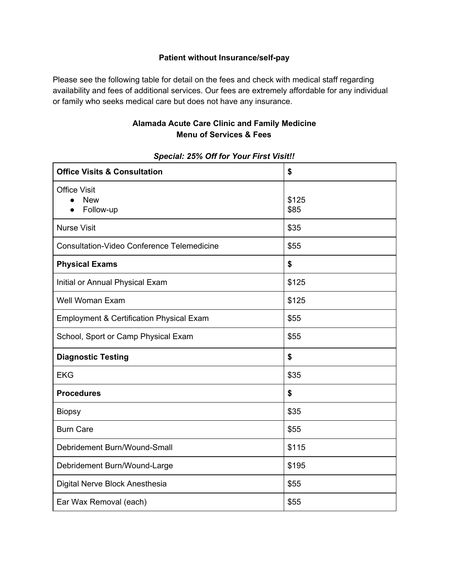## **Patient without Insurance/self-pay**

Please see the following table for detail on the fees and check with medical staff regarding availability and fees of additional services. Our fees are extremely affordable for any individual or family who seeks medical care but does not have any insurance.

## **Alamada Acute Care Clinic and Family Medicine Menu of Services & Fees**

| <b>Office Visits &amp; Consultation</b>           | \$            |
|---------------------------------------------------|---------------|
| <b>Office Visit</b><br><b>New</b><br>Follow-up    | \$125<br>\$85 |
| <b>Nurse Visit</b>                                | \$35          |
| <b>Consultation-Video Conference Telemedicine</b> | \$55          |
| <b>Physical Exams</b>                             | \$            |
| Initial or Annual Physical Exam                   | \$125         |
| Well Woman Exam                                   | \$125         |
| Employment & Certification Physical Exam          | \$55          |
| School, Sport or Camp Physical Exam               | \$55          |
| <b>Diagnostic Testing</b>                         | \$            |
| <b>EKG</b>                                        | \$35          |
| <b>Procedures</b>                                 | \$            |
| <b>Biopsy</b>                                     | \$35          |
| <b>Burn Care</b>                                  | \$55          |
| Debridement Burn/Wound-Small                      | \$115         |
| Debridement Burn/Wound-Large                      | \$195         |
| Digital Nerve Block Anesthesia                    | \$55          |
| Ear Wax Removal (each)                            | \$55          |

## *Special: 25% Off for Your First Visit!!*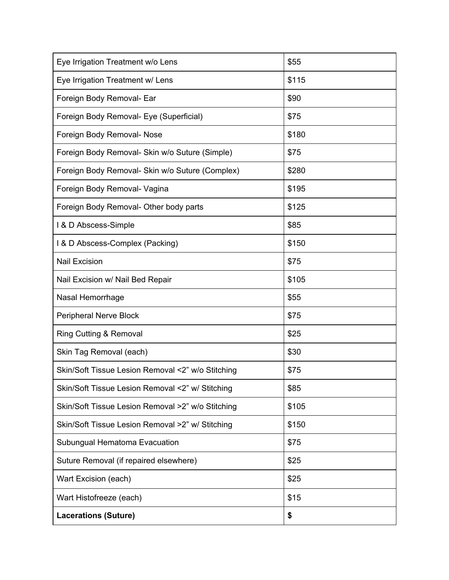| Eye Irrigation Treatment w/o Lens                 | \$55  |
|---------------------------------------------------|-------|
| Eye Irrigation Treatment w/ Lens                  | \$115 |
| Foreign Body Removal- Ear                         | \$90  |
| Foreign Body Removal- Eye (Superficial)           | \$75  |
| Foreign Body Removal- Nose                        | \$180 |
| Foreign Body Removal- Skin w/o Suture (Simple)    | \$75  |
| Foreign Body Removal- Skin w/o Suture (Complex)   | \$280 |
| Foreign Body Removal- Vagina                      | \$195 |
| Foreign Body Removal- Other body parts            | \$125 |
| I & D Abscess-Simple                              | \$85  |
| 1 & D Abscess-Complex (Packing)                   | \$150 |
| <b>Nail Excision</b>                              | \$75  |
| Nail Excision w/ Nail Bed Repair                  | \$105 |
| Nasal Hemorrhage                                  | \$55  |
| Peripheral Nerve Block                            | \$75  |
|                                                   |       |
| <b>Ring Cutting &amp; Removal</b>                 | \$25  |
| Skin Tag Removal (each)                           | \$30  |
| Skin/Soft Tissue Lesion Removal <2" w/o Stitching | \$75  |
| Skin/Soft Tissue Lesion Removal <2" w/ Stitching  | \$85  |
| Skin/Soft Tissue Lesion Removal >2" w/o Stitching | \$105 |
| Skin/Soft Tissue Lesion Removal >2" w/ Stitching  | \$150 |
| Subungual Hematoma Evacuation                     | \$75  |
| Suture Removal (if repaired elsewhere)            | \$25  |
| Wart Excision (each)                              | \$25  |
| Wart Histofreeze (each)                           | \$15  |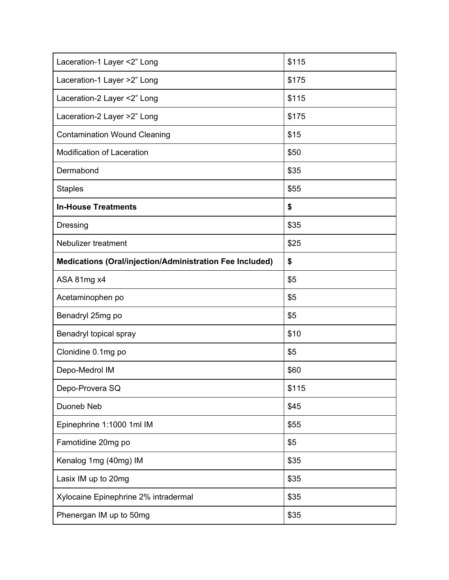| Laceration-1 Layer <2" Long                                     | \$115 |
|-----------------------------------------------------------------|-------|
| Laceration-1 Layer >2" Long                                     | \$175 |
| Laceration-2 Layer <2" Long                                     | \$115 |
| Laceration-2 Layer >2" Long                                     | \$175 |
| <b>Contamination Wound Cleaning</b>                             | \$15  |
| <b>Modification of Laceration</b>                               | \$50  |
| Dermabond                                                       | \$35  |
| <b>Staples</b>                                                  | \$55  |
| <b>In-House Treatments</b>                                      | \$    |
| Dressing                                                        | \$35  |
| Nebulizer treatment                                             | \$25  |
| <b>Medications (Oral/injection/Administration Fee Included)</b> | \$    |
| ASA 81mg x4                                                     | \$5   |
| Acetaminophen po                                                | \$5   |
| Benadryl 25mg po                                                | \$5   |
| Benadryl topical spray                                          | \$10  |
| Clonidine 0.1mg po                                              | \$5   |
| Depo-Medrol IM                                                  | \$60  |
| Depo-Provera SQ                                                 | \$115 |
| Duoneb Neb                                                      | \$45  |
| Epinephrine 1:1000 1ml IM                                       | \$55  |
| Famotidine 20mg po                                              | \$5   |
| Kenalog 1mg (40mg) IM                                           | \$35  |
| Lasix IM up to 20mg                                             | \$35  |
| Xylocaine Epinephrine 2% intradermal                            | \$35  |
| Phenergan IM up to 50mg                                         | \$35  |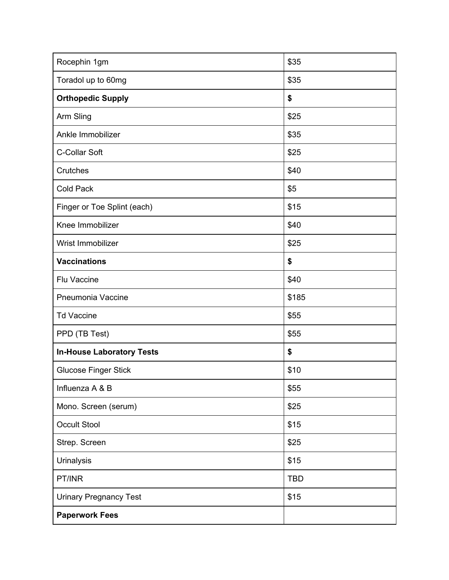| Rocephin 1gm                     | \$35       |
|----------------------------------|------------|
| Toradol up to 60mg               | \$35       |
| <b>Orthopedic Supply</b>         | \$         |
| Arm Sling                        | \$25       |
| Ankle Immobilizer                | \$35       |
| C-Collar Soft                    | \$25       |
| Crutches                         | \$40       |
| <b>Cold Pack</b>                 | \$5        |
| Finger or Toe Splint (each)      | \$15       |
| Knee Immobilizer                 | \$40       |
| Wrist Immobilizer                | \$25       |
| <b>Vaccinations</b>              | \$         |
| Flu Vaccine                      | \$40       |
| Pneumonia Vaccine                | \$185      |
| <b>Td Vaccine</b>                | \$55       |
| PPD (TB Test)                    | \$55       |
| <b>In-House Laboratory Tests</b> | \$         |
| <b>Glucose Finger Stick</b>      | \$10       |
| Influenza A & B                  | \$55       |
| Mono. Screen (serum)             | \$25       |
| <b>Occult Stool</b>              | \$15       |
| Strep. Screen                    | \$25       |
| <b>Urinalysis</b>                | \$15       |
| PT/INR                           | <b>TBD</b> |
| <b>Urinary Pregnancy Test</b>    | \$15       |
| <b>Paperwork Fees</b>            |            |